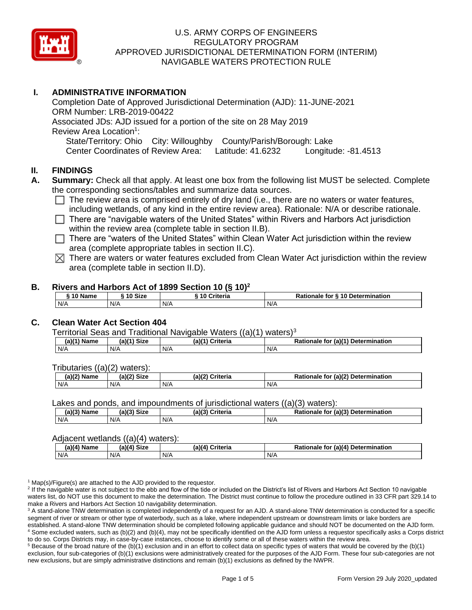

# **I. ADMINISTRATIVE INFORMATION**

Completion Date of Approved Jurisdictional Determination (AJD): 11-JUNE-2021 ORM Number: LRB-2019-00422 Associated JDs: AJD issued for a portion of the site on 28 May 2019 Review Area Location<sup>1</sup>: State/Territory: Ohio City: Willoughby County/Parish/Borough: Lake Center Coordinates of Review Area: Latitude: 41.6232 Longitude: -81.4513

# **II. FINDINGS**

- **A. Summary:** Check all that apply. At least one box from the following list MUST be selected. Complete the corresponding sections/tables and summarize data sources.
	- $\Box$  The review area is comprised entirely of dry land (i.e., there are no waters or water features, including wetlands, of any kind in the entire review area). Rationale: N/A or describe rationale.
	- $\Box$  There are "navigable waters of the United States" within Rivers and Harbors Act jurisdiction within the review area (complete table in section II.B).
	- $\Box$  There are "waters of the United States" within Clean Water Act jurisdiction within the review area (complete appropriate tables in section II.C).
	- $\boxtimes$  There are waters or water features excluded from Clean Water Act jurisdiction within the review area (complete table in section II.D).

#### **B. Rivers and Harbors Act of 1899 Section 10 (§ 10)<sup>2</sup>**

| 10 Name | $^{\circ}$ 10 Size | -------<br>Criteria<br>10 د | Rationale for § 10 Determination |
|---------|--------------------|-----------------------------|----------------------------------|
| N/A     | N/A                | N/A                         | N/A                              |

# **C. Clean Water Act Section 404**

Territorial Seas and Traditional Navigable Waters  $((a)(1)$  waters)<sup>3</sup>

| $(A)(1)$ <sup>V</sup><br>$\blacksquare$ . Nome<br>ame | <b>Size</b><br>$(1 - 1)$ | $(a)$ ( $\prime$<br>Criteria<br>Нά | $-1/41$<br>Dati<br>Determination<br>tor<br>la v<br>itionale |
|-------------------------------------------------------|--------------------------|------------------------------------|-------------------------------------------------------------|
| N/A                                                   | N/A                      | N/A                                | N/A                                                         |

Tributaries ((a)(2) waters):

| (2)(2)<br>$ -$<br><b>Name</b> | <b>Size</b><br>aV2 | (2)<br>$P$ ritorio<br>' Ilti la | (a)(2) Determination<br>ionale for |
|-------------------------------|--------------------|---------------------------------|------------------------------------|
| N/A                           | N/A                | N/A                             | N/A                                |

Lakes and ponds, and impoundments of jurisdictional waters ((a)(3) waters):

| (a)(3) Name | (a)(3) Size | (a) | Criteria | $D - 4$<br>Rationale<br>tor | $\pi$ (a)(?)<br><b>Determination</b> |
|-------------|-------------|-----|----------|-----------------------------|--------------------------------------|
| N/A         | N/A         | N/A |          | N/A                         |                                      |

#### Adjacent wetlands ((a)(4) waters):

| (a)(4) Name | (a)(4) Size | (a)(4) Criteria | Rationale for (a)(4) Determination |
|-------------|-------------|-----------------|------------------------------------|
| N/A         | N/A         | N/f             | N/A                                |

 $1$  Map(s)/Figure(s) are attached to the AJD provided to the requestor.

<sup>2</sup> If the navigable water is not subject to the ebb and flow of the tide or included on the District's list of Rivers and Harbors Act Section 10 navigable waters list, do NOT use this document to make the determination. The District must continue to follow the procedure outlined in 33 CFR part 329.14 to make a Rivers and Harbors Act Section 10 navigability determination.

<sup>3</sup> A stand-alone TNW determination is completed independently of a request for an AJD. A stand-alone TNW determination is conducted for a specific segment of river or stream or other type of waterbody, such as a lake, where independent upstream or downstream limits or lake borders are established. A stand-alone TNW determination should be completed following applicable guidance and should NOT be documented on the AJD form. <sup>4</sup> Some excluded waters, such as (b)(2) and (b)(4), may not be specifically identified on the AJD form unless a requestor specifically asks a Corps district to do so. Corps Districts may, in case-by-case instances, choose to identify some or all of these waters within the review area.

 $5$  Because of the broad nature of the (b)(1) exclusion and in an effort to collect data on specific types of waters that would be covered by the (b)(1) exclusion, four sub-categories of (b)(1) exclusions were administratively created for the purposes of the AJD Form. These four sub-categories are not new exclusions, but are simply administrative distinctions and remain (b)(1) exclusions as defined by the NWPR.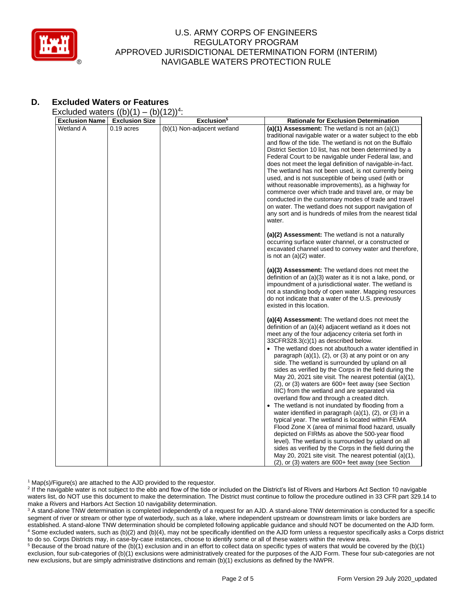

# **D. Excluded Waters or Features**

Excluded waters  $((b)(1) - (b)(12))^4$ :

| <b>Exclusion Name</b> | <b>Exclusion Size</b> | Exclusion <sup>5</sup>      | <b>Rationale for Exclusion Determination</b>                                                                         |
|-----------------------|-----------------------|-----------------------------|----------------------------------------------------------------------------------------------------------------------|
| Wetland A             | $0.19$ acres          | (b)(1) Non-adjacent wetland | (a)(1) Assessment: The wetland is not an $(a)(1)$<br>traditional navigable water or a water subject to the ebb       |
|                       |                       |                             | and flow of the tide. The wetland is not on the Buffalo                                                              |
|                       |                       |                             | District Section 10 list, has not been determined by a<br>Federal Court to be navigable under Federal law, and       |
|                       |                       |                             | does not meet the legal definition of navigable-in-fact.                                                             |
|                       |                       |                             | The wetland has not been used, is not currently being                                                                |
|                       |                       |                             | used, and is not susceptible of being used (with or<br>without reasonable improvements), as a highway for            |
|                       |                       |                             | commerce over which trade and travel are, or may be                                                                  |
|                       |                       |                             | conducted in the customary modes of trade and travel                                                                 |
|                       |                       |                             | on water. The wetland does not support navigation of                                                                 |
|                       |                       |                             | any sort and is hundreds of miles from the nearest tidal<br>water.                                                   |
|                       |                       |                             | (a)(2) Assessment: The wetland is not a naturally<br>occurring surface water channel, or a constructed or            |
|                       |                       |                             | excavated channel used to convey water and therefore,                                                                |
|                       |                       |                             | is not an (a)(2) water.                                                                                              |
|                       |                       |                             | (a)(3) Assessment: The wetland does not meet the                                                                     |
|                       |                       |                             | definition of an (a)(3) water as it is not a lake, pond, or<br>impoundment of a jurisdictional water. The wetland is |
|                       |                       |                             | not a standing body of open water. Mapping resources                                                                 |
|                       |                       |                             | do not indicate that a water of the U.S. previously                                                                  |
|                       |                       |                             | existed in this location.                                                                                            |
|                       |                       |                             | (a)(4) Assessment: The wetland does not meet the                                                                     |
|                       |                       |                             | definition of an (a)(4) adjacent wetland as it does not<br>meet any of the four adjacency criteria set forth in      |
|                       |                       |                             | 33CFR328.3(c)(1) as described below.                                                                                 |
|                       |                       |                             | • The wetland does not abut/touch a water identified in                                                              |
|                       |                       |                             | paragraph (a)(1), (2), or (3) at any point or on any<br>side. The wetland is surrounded by upland on all             |
|                       |                       |                             | sides as verified by the Corps in the field during the                                                               |
|                       |                       |                             | May 20, 2021 site visit. The nearest potential (a)(1),                                                               |
|                       |                       |                             | $(2)$ , or $(3)$ waters are 600+ feet away (see Section<br>IIIC) from the wetland and are separated via              |
|                       |                       |                             | overland flow and through a created ditch.                                                                           |
|                       |                       |                             | The wetland is not inundated by flooding from a                                                                      |
|                       |                       |                             | water identified in paragraph (a)(1), (2), or (3) in a<br>typical year. The wetland is located within FEMA           |
|                       |                       |                             | Flood Zone X (area of minimal flood hazard, usually                                                                  |
|                       |                       |                             | depicted on FIRMs as above the 500-year flood                                                                        |
|                       |                       |                             | level). The wetland is surrounded by upland on all<br>sides as verified by the Corps in the field during the         |
|                       |                       |                             | May 20, 2021 site visit. The nearest potential (a)(1),                                                               |
|                       |                       |                             | (2), or (3) waters are 600+ feet away (see Section                                                                   |

<sup>1</sup> Map(s)/Figure(s) are attached to the AJD provided to the requestor.

<sup>2</sup> If the navigable water is not subject to the ebb and flow of the tide or included on the District's list of Rivers and Harbors Act Section 10 navigable waters list, do NOT use this document to make the determination. The District must continue to follow the procedure outlined in 33 CFR part 329.14 to make a Rivers and Harbors Act Section 10 navigability determination.

<sup>3</sup> A stand-alone TNW determination is completed independently of a request for an AJD. A stand-alone TNW determination is conducted for a specific segment of river or stream or other type of waterbody, such as a lake, where independent upstream or downstream limits or lake borders are established. A stand-alone TNW determination should be completed following applicable guidance and should NOT be documented on the AJD form. <sup>4</sup> Some excluded waters, such as (b)(2) and (b)(4), may not be specifically identified on the AJD form unless a requestor specifically asks a Corps district to do so. Corps Districts may, in case-by-case instances, choose to identify some or all of these waters within the review area.

<sup>5</sup> Because of the broad nature of the (b)(1) exclusion and in an effort to collect data on specific types of waters that would be covered by the (b)(1) exclusion, four sub-categories of (b)(1) exclusions were administratively created for the purposes of the AJD Form. These four sub-categories are not new exclusions, but are simply administrative distinctions and remain (b)(1) exclusions as defined by the NWPR.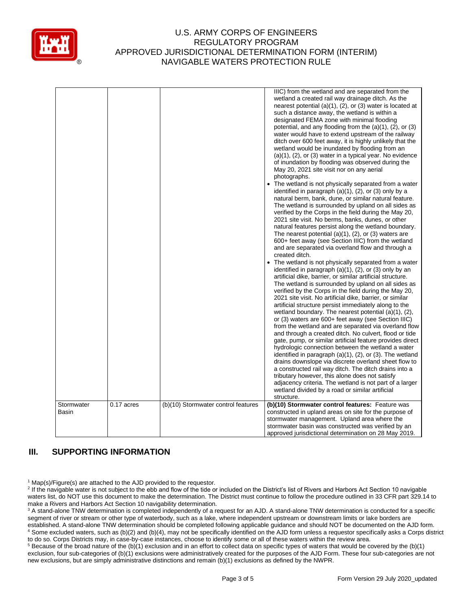

|            |            |                                     | IIIC) from the wetland and are separated from the<br>wetland a created rail way drainage ditch. As the<br>nearest potential $(a)(1)$ , $(2)$ , or $(3)$ water is located at<br>such a distance away, the wetland is within a<br>designated FEMA zone with minimal flooding<br>potential, and any flooding from the $(a)(1)$ , $(2)$ , or $(3)$<br>water would have to extend upstream of the railway<br>ditch over 600 feet away, it is highly unlikely that the<br>wetland would be inundated by flooding from an<br>$(a)(1)$ , $(2)$ , or $(3)$ water in a typical year. No evidence<br>of inundation by flooding was observed during the<br>May 20, 2021 site visit nor on any aerial<br>photographs.<br>The wetland is not physically separated from a water<br>identified in paragraph $(a)(1)$ , $(2)$ , or $(3)$ only by a<br>natural berm, bank, dune, or similar natural feature.<br>The wetland is surrounded by upland on all sides as<br>verified by the Corps in the field during the May 20,<br>2021 site visit. No berms, banks, dunes, or other<br>natural features persist along the wetland boundary.<br>The nearest potential $(a)(1)$ , $(2)$ , or $(3)$ waters are<br>600+ feet away (see Section IIIC) from the wetland<br>and are separated via overland flow and through a<br>created ditch.<br>The wetland is not physically separated from a water<br>identified in paragraph $(a)(1)$ , $(2)$ , or $(3)$ only by an<br>artificial dike, barrier, or similar artificial structure.<br>The wetland is surrounded by upland on all sides as<br>verified by the Corps in the field during the May 20,<br>2021 site visit. No artificial dike, barrier, or similar<br>artificial structure persist immediately along to the<br>wetland boundary. The nearest potential $(a)(1)$ , $(2)$ ,<br>or (3) waters are 600+ feet away (see Section IIIC)<br>from the wetland and are separated via overland flow<br>and through a created ditch. No culvert, flood or tide<br>gate, pump, or similar artificial feature provides direct<br>hydrologic connection between the wetland a water<br>identified in paragraph (a)(1), (2), or (3). The wetland<br>drains downslope via discrete overland sheet flow to<br>a constructed rail way ditch. The ditch drains into a<br>tributary however, this alone does not satisfy<br>adjacency criteria. The wetland is not part of a larger<br>wetland divided by a road or similar artificial<br>structure. |
|------------|------------|-------------------------------------|-----------------------------------------------------------------------------------------------------------------------------------------------------------------------------------------------------------------------------------------------------------------------------------------------------------------------------------------------------------------------------------------------------------------------------------------------------------------------------------------------------------------------------------------------------------------------------------------------------------------------------------------------------------------------------------------------------------------------------------------------------------------------------------------------------------------------------------------------------------------------------------------------------------------------------------------------------------------------------------------------------------------------------------------------------------------------------------------------------------------------------------------------------------------------------------------------------------------------------------------------------------------------------------------------------------------------------------------------------------------------------------------------------------------------------------------------------------------------------------------------------------------------------------------------------------------------------------------------------------------------------------------------------------------------------------------------------------------------------------------------------------------------------------------------------------------------------------------------------------------------------------------------------------------------------------------------------------------------------------------------------------------------------------------------------------------------------------------------------------------------------------------------------------------------------------------------------------------------------------------------------------------------------------------------------------------------------------------------------------------------------------------------------------------------------------------------------------------------|
| Stormwater | 0.17 acres | (b)(10) Stormwater control features | (b)(10) Stormwater control features: Feature was                                                                                                                                                                                                                                                                                                                                                                                                                                                                                                                                                                                                                                                                                                                                                                                                                                                                                                                                                                                                                                                                                                                                                                                                                                                                                                                                                                                                                                                                                                                                                                                                                                                                                                                                                                                                                                                                                                                                                                                                                                                                                                                                                                                                                                                                                                                                                                                                                      |
| Basin      |            |                                     | constructed in upland areas on site for the purpose of<br>stormwater management. Upland area where the                                                                                                                                                                                                                                                                                                                                                                                                                                                                                                                                                                                                                                                                                                                                                                                                                                                                                                                                                                                                                                                                                                                                                                                                                                                                                                                                                                                                                                                                                                                                                                                                                                                                                                                                                                                                                                                                                                                                                                                                                                                                                                                                                                                                                                                                                                                                                                |
|            |            |                                     |                                                                                                                                                                                                                                                                                                                                                                                                                                                                                                                                                                                                                                                                                                                                                                                                                                                                                                                                                                                                                                                                                                                                                                                                                                                                                                                                                                                                                                                                                                                                                                                                                                                                                                                                                                                                                                                                                                                                                                                                                                                                                                                                                                                                                                                                                                                                                                                                                                                                       |
|            |            |                                     | stormwater basin was constructed was verified by an                                                                                                                                                                                                                                                                                                                                                                                                                                                                                                                                                                                                                                                                                                                                                                                                                                                                                                                                                                                                                                                                                                                                                                                                                                                                                                                                                                                                                                                                                                                                                                                                                                                                                                                                                                                                                                                                                                                                                                                                                                                                                                                                                                                                                                                                                                                                                                                                                   |
|            |            |                                     | approved jurisdictional determination on 28 May 2019.                                                                                                                                                                                                                                                                                                                                                                                                                                                                                                                                                                                                                                                                                                                                                                                                                                                                                                                                                                                                                                                                                                                                                                                                                                                                                                                                                                                                                                                                                                                                                                                                                                                                                                                                                                                                                                                                                                                                                                                                                                                                                                                                                                                                                                                                                                                                                                                                                 |

# **III. SUPPORTING INFORMATION**

<sup>1</sup> Map(s)/Figure(s) are attached to the AJD provided to the requestor.

<sup>2</sup> If the navigable water is not subject to the ebb and flow of the tide or included on the District's list of Rivers and Harbors Act Section 10 navigable waters list, do NOT use this document to make the determination. The District must continue to follow the procedure outlined in 33 CFR part 329.14 to make a Rivers and Harbors Act Section 10 navigability determination.

<sup>3</sup> A stand-alone TNW determination is completed independently of a request for an AJD. A stand-alone TNW determination is conducted for a specific segment of river or stream or other type of waterbody, such as a lake, where independent upstream or downstream limits or lake borders are established. A stand-alone TNW determination should be completed following applicable guidance and should NOT be documented on the AJD form. <sup>4</sup> Some excluded waters, such as (b)(2) and (b)(4), may not be specifically identified on the AJD form unless a requestor specifically asks a Corps district to do so. Corps Districts may, in case-by-case instances, choose to identify some or all of these waters within the review area.

 $5$  Because of the broad nature of the (b)(1) exclusion and in an effort to collect data on specific types of waters that would be covered by the (b)(1) exclusion, four sub-categories of (b)(1) exclusions were administratively created for the purposes of the AJD Form. These four sub-categories are not new exclusions, but are simply administrative distinctions and remain (b)(1) exclusions as defined by the NWPR.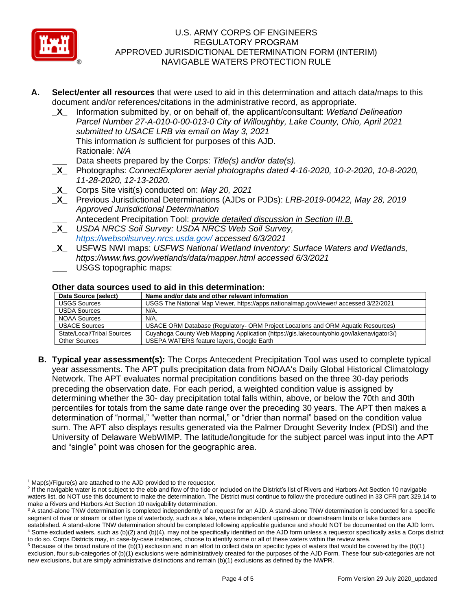

- **A. Select/enter all resources** that were used to aid in this determination and attach data/maps to this document and/or references/citations in the administrative record, as appropriate.
	- **\_X\_** Information submitted by, or on behalf of, the applicant/consultant: *Wetland Delineation Parcel Number 27-A-010-0-00-013-0 City of Willoughby, Lake County, Ohio, April 2021 submitted to USACE LRB via email on May 3, 2021* This information *is* sufficient for purposes of this AJD. Rationale: *N/A*
	- **\_\_\_** Data sheets prepared by the Corps: *Title(s) and/or date(s).*
	- **\_X\_** Photographs: *ConnectExplorer aerial photographs dated 4-16-2020, 10-2-2020, 10-8-2020, 11-28-2020, 12-13-2020.*
	- **\_X\_** Corps Site visit(s) conducted on: *May 20, 2021*
	- **\_X\_** Previous Jurisdictional Determinations (AJDs or PJDs): *LRB-2019-00422, May 28, 2019 Approved Jurisdictional Determination*
		- **\_\_\_** Antecedent Precipitation Tool: *provide detailed discussion in Section III.B.*
	- **\_X\_** *USDA NRCS Soil Survey: USDA NRCS Web Soil Survey, https://websoilsurvey.nrcs.usda.gov/ accessed 6/3/2021*
	- **\_X\_** USFWS NWI maps: *USFWS National Wetland Inventory: Surface Waters and Wetlands, https://www.fws.gov/wetlands/data/mapper.html accessed 6/3/2021* **\_\_\_** USGS topographic maps:

# **Other data sources used to aid in this determination:**

| Othol Gata Sources asculto and in this uctonimation. |                                                                                          |  |  |  |
|------------------------------------------------------|------------------------------------------------------------------------------------------|--|--|--|
| Data Source (select)                                 | Name and/or date and other relevant information                                          |  |  |  |
| <b>USGS Sources</b>                                  | USGS The National Map Viewer, https://apps.nationalmap.gov/viewer/accessed 3/22/2021     |  |  |  |
| <b>USDA Sources</b>                                  | N/A.                                                                                     |  |  |  |
| NOAA Sources                                         | N/A.                                                                                     |  |  |  |
| <b>USACE Sources</b>                                 | USACE ORM Database (Regulatory- ORM Project Locations and ORM Aquatic Resources)         |  |  |  |
| State/Local/Tribal Sources                           | Cuyahoga County Web Mapping Application (https://gis.lakecountyohio.gov/lakenavigator3/) |  |  |  |
| <b>Other Sources</b>                                 | USEPA WATERS feature layers, Google Earth                                                |  |  |  |

**B. Typical year assessment(s):** The Corps Antecedent Precipitation Tool was used to complete typical year assessments. The APT pulls precipitation data from NOAA's Daily Global Historical Climatology Network. The APT evaluates normal precipitation conditions based on the three 30-day periods preceding the observation date. For each period, a weighted condition value is assigned by determining whether the 30- day precipitation total falls within, above, or below the 70th and 30th percentiles for totals from the same date range over the preceding 30 years. The APT then makes a determination of "normal," "wetter than normal," or "drier than normal" based on the condition value sum. The APT also displays results generated via the Palmer Drought Severity Index (PDSI) and the University of Delaware WebWIMP. The latitude/longitude for the subject parcel was input into the APT and "single" point was chosen for the geographic area.

 $1$  Map(s)/Figure(s) are attached to the AJD provided to the requestor.

<sup>&</sup>lt;sup>2</sup> If the navigable water is not subject to the ebb and flow of the tide or included on the District's list of Rivers and Harbors Act Section 10 navigable waters list, do NOT use this document to make the determination. The District must continue to follow the procedure outlined in 33 CFR part 329.14 to make a Rivers and Harbors Act Section 10 navigability determination.

<sup>&</sup>lt;sup>3</sup> A stand-alone TNW determination is completed independently of a request for an AJD. A stand-alone TNW determination is conducted for a specific segment of river or stream or other type of waterbody, such as a lake, where independent upstream or downstream limits or lake borders are established. A stand-alone TNW determination should be completed following applicable guidance and should NOT be documented on the AJD form. <sup>4</sup> Some excluded waters, such as (b)(2) and (b)(4), may not be specifically identified on the AJD form unless a requestor specifically asks a Corps district

to do so. Corps Districts may, in case-by-case instances, choose to identify some or all of these waters within the review area.  $5$  Because of the broad nature of the (b)(1) exclusion and in an effort to collect data on specific types of waters that would be covered by the (b)(1) exclusion, four sub-categories of (b)(1) exclusions were administratively created for the purposes of the AJD Form. These four sub-categories are not new exclusions, but are simply administrative distinctions and remain (b)(1) exclusions as defined by the NWPR.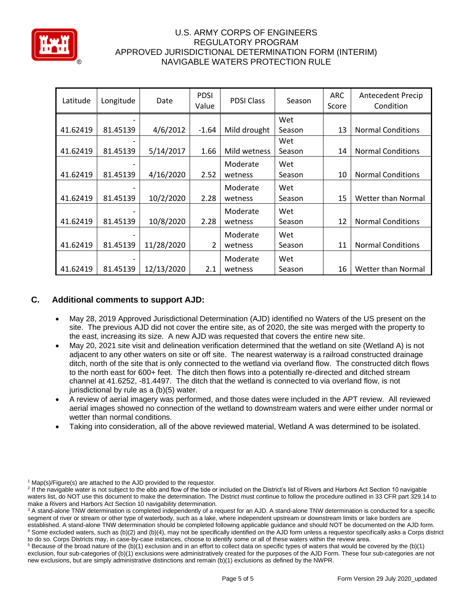

| Latitude | Longitude | Date       | <b>PDSI</b><br>Value | <b>PDSI Class</b> | Season | <b>ARC</b><br>Score | <b>Antecedent Precip</b><br>Condition |
|----------|-----------|------------|----------------------|-------------------|--------|---------------------|---------------------------------------|
|          |           |            |                      |                   | Wet    |                     |                                       |
| 41.62419 | 81.45139  | 4/6/2012   | $-1.64$              | Mild drought      | Season | 13                  | <b>Normal Conditions</b>              |
|          |           |            |                      |                   | Wet    |                     |                                       |
| 41.62419 | 81.45139  | 5/14/2017  | 1.66                 | Mild wetness      | Season | 14                  | <b>Normal Conditions</b>              |
|          |           |            |                      | Moderate          | Wet    |                     |                                       |
| 41.62419 | 81.45139  | 4/16/2020  | 2.52                 | wetness           | Season | 10                  | <b>Normal Conditions</b>              |
|          |           |            |                      | Moderate          | Wet    |                     |                                       |
| 41.62419 | 81.45139  | 10/2/2020  | 2.28                 | wetness           | Season | 15                  | Wetter than Normal                    |
|          |           |            |                      | Moderate          | Wet    |                     |                                       |
| 41.62419 | 81.45139  | 10/8/2020  | 2.28                 | wetness           | Season | 12                  | <b>Normal Conditions</b>              |
|          |           |            |                      | Moderate          | Wet    |                     |                                       |
| 41.62419 | 81.45139  | 11/28/2020 | 2                    | wetness           | Season | 11                  | <b>Normal Conditions</b>              |
|          |           |            |                      | Moderate          | Wet    |                     |                                       |
| 41.62419 | 81.45139  | 12/13/2020 | 2.1                  | wetness           | Season | 16                  | Wetter than Normal                    |

# **C. Additional comments to support AJD:**

- May 28, 2019 Approved Jurisdictional Determination (AJD) identified no Waters of the US present on the site. The previous AJD did not cover the entire site, as of 2020, the site was merged with the property to the east, increasing its size. A new AJD was requested that covers the entire new site.
- May 20, 2021 site visit and delineation verification determined that the wetland on site (Wetland A) is not adjacent to any other waters on site or off site. The nearest waterway is a railroad constructed drainage ditch, north of the site that is only connected to the wetland via overland flow. The constructed ditch flows to the north east for 600+ feet. The ditch then flows into a potentially re-directed and ditched stream channel at 41.6252, -81.4497. The ditch that the wetland is connected to via overland flow, is not jurisdictional by rule as a (b)(5) water.
- A review of aerial imagery was performed, and those dates were included in the APT review. All reviewed aerial images showed no connection of the wetland to downstream waters and were either under normal or wetter than normal conditions.
- Taking into consideration, all of the above reviewed material, Wetland A was determined to be isolated.

 $1$  Map(s)/Figure(s) are attached to the AJD provided to the requestor.

<sup>&</sup>lt;sup>2</sup> If the navigable water is not subject to the ebb and flow of the tide or included on the District's list of Rivers and Harbors Act Section 10 navigable waters list, do NOT use this document to make the determination. The District must continue to follow the procedure outlined in 33 CFR part 329.14 to make a Rivers and Harbors Act Section 10 navigability determination.

<sup>&</sup>lt;sup>3</sup> A stand-alone TNW determination is completed independently of a request for an AJD. A stand-alone TNW determination is conducted for a specific segment of river or stream or other type of waterbody, such as a lake, where independent upstream or downstream limits or lake borders are established. A stand-alone TNW determination should be completed following applicable guidance and should NOT be documented on the AJD form. <sup>4</sup> Some excluded waters, such as (b)(2) and (b)(4), may not be specifically identified on the AJD form unless a requestor specifically asks a Corps district

to do so. Corps Districts may, in case-by-case instances, choose to identify some or all of these waters within the review area.  $5$  Because of the broad nature of the (b)(1) exclusion and in an effort to collect data on specific types of waters that would be covered by the (b)(1) exclusion, four sub-categories of (b)(1) exclusions were administratively created for the purposes of the AJD Form. These four sub-categories are not new exclusions, but are simply administrative distinctions and remain (b)(1) exclusions as defined by the NWPR.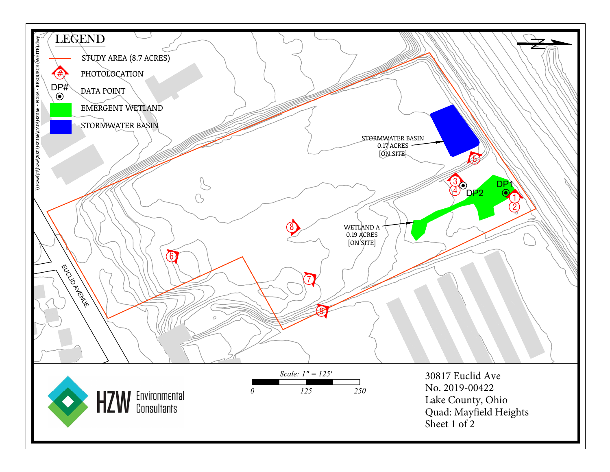